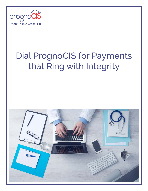

# Dial PrognoCIS for Payments that Ring with Integrity

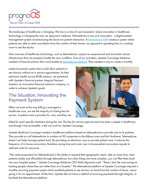

The landscape of healthcare is changing. We live in a time of vast movement, where innovation in healthcare technology is changing the way we approach medicine. Telemedicine is one such innovation - a digital patient management system revolutionizing the doctor-to-patient interaction. A [telemedicine EHR](http://prognocis.com/telemedicine/) creates a system where patients are able to seek consultation from the comfort of their homes, as opposed to spending time in a waiting room to see the doctor.

New avenues of healthcare technology, such as telemedicine, require an experienced and innovation-driven infrastructure that can properly handle the new workflow. One of our providers, Upstate Concierge Medicine, needed a financial solution that could enable its [telemedicine platform](http://prognocis.com/telemedicine-innovation-with-upstate-concierge-medicine/). They needed a way to create a monthly

medical payment system that would allow patients to see doctors without an in person appointment. As their electronic health record (EHR) solution, we partnered with Upstate's financial partner Integrity Payment Systems, an innovative financial solutions company, in order to achieve Upstate's goals.

### The Situation, Innovating the Payment System

When we look at the way billing is managed in healthcare now, we see the majority of it being fee-forservice. A patient visits a provider for care, and they are



billed for each specific treatment during the visit. This fee-for-service type structure has been a staple in healthcare, and though it has its benefits, it did not work for Upstate Concierge.

Upstate Medicine Concierge created a healthcare platform based on telemedicine to provide care to its patients. They provide on-call telemedicine to workers at 90 companies in the Albany area and the Northeast. Telemedicine doesn't just help manage patient load. By providing an electronic way to provide patient care, it reduces the frequency of in-house encounters, therefore saving time and costs. Less in-house patient encounters equate to reduced costs for everyone.

"The value proposition for [telemedicine] is the ability to expand their geographic reach, take on more lives, treat patients simply and affordably through telemedicine, but when things are more complex, you can filter them back into your hospital system," Upstate Concierge Medicine CEO Keith Algozzine said. "There's also the cost savings to treating people where they are rather than at a hospital." The telemedicine platform of Upstate Concierge required a monthly recurring payment system which enabled patients to see doctors on hand from the comfort of home, versus going in for an appointment. At the time, Upstate did not have a method of recurring payments through Integrity, to facilitate the telemedicine platform.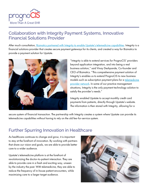

## Collaboration with Integrity Payment Systems, Innovative Financial Solutions Provider

After much consultation, [Bizmatics partnered with Integrity to enable Upstate's telemedicine capabilities](http://www.integritypays.com/news-new-partnership-bizmatics/). Integrity is a financial solutions provider that creates secure payment gateways for its clients, and created a way for Bizmatics to provide a payment solution for Upstate.



"Integrity is able to extend services for PrognoCIS' providers beyond application integration, and into being a real business solution," said Vinay Deshpande, Co-founder and CEO of Bizmatics. "This comprehensive payment solution of Integrity's enables us to extend PrognoCIS to new business models such as subscription payment plans for a [telemedicine](http://www.prweb.net/Redirect.aspx?id=aHR0cHM6Ly93d3cudXBzdGF0ZXZpcG1lZGljaW5lLmNvbS90ZWxlbWVkaWNpbmUtYmVuZWZpdHMv)  [provider network.](http://www.prweb.net/Redirect.aspx?id=aHR0cHM6Ly93d3cudXBzdGF0ZXZpcG1lZGljaW5lLmNvbS90ZWxlbWVkaWNpbmUtYmVuZWZpdHMv) In some of our practice management situations, Integrity is the only payment technology solution to satisfy the provider's needs."

Integrity enabled Upstate to accept monthly credit card payments from patients, directly through Upstate's website. The information is then stored with Integrity, allowing for a

secure system of financial transaction. The partnership with Integrity creates a system where Upstate can provide its telemedicine capabilities without having to rely on the old fee-for-service system.

## Further Spurring Innovation in Healthcare

As healthcare continues to change and grow, it is important to stay at the forefront of innovation. By working with partners that share our vision and goals, we are able to provide better care to a wider audience.

Upstate's telemedicine platform is at the forefront of revolutionizing the doctor-to-patient interaction. They are able to provide care in a fresh and exciting way, unseen by the industry the past. With telemedicine, they are able to reduce the frequency of in-house patient encounters, while maximizing care to a larger target audience.